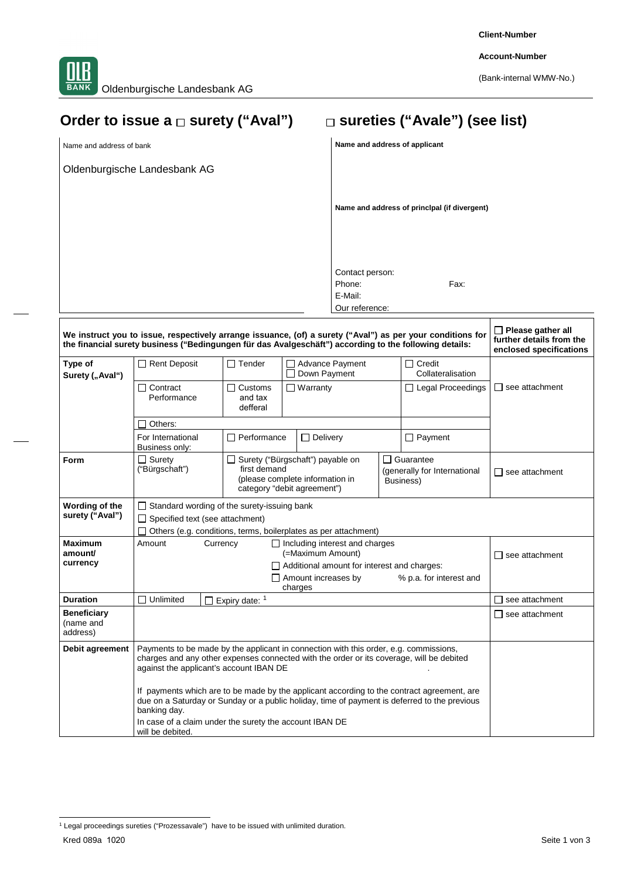**Client-Number**

**Account-Number**

(Bank-internal WMW-No.)

# Order to issue a  $\Box$  surety ("Aval")  $\Box$  sureties ("Avale") (see list)

Oldenburgische Landesbank AG

Name and address of bank **Name and address of applicant** 

**Name and address of princlpal (if divergent)**

Contact person: Phone: Fax: E-Mail: Our reference:

|                                             | We instruct you to issue, respectively arrange issuance, (of) a surety ("Aval") as per your conditions for<br>the financial surety business ("Bedingungen für das Avalgeschäft") according to the following details:                                                                                                       |                                       |                                                                                                    |                                                              |                       |  |
|---------------------------------------------|----------------------------------------------------------------------------------------------------------------------------------------------------------------------------------------------------------------------------------------------------------------------------------------------------------------------------|---------------------------------------|----------------------------------------------------------------------------------------------------|--------------------------------------------------------------|-----------------------|--|
| Type of<br>Surety ("Aval")                  | Rent Deposit                                                                                                                                                                                                                                                                                                               | $\Box$ Tender                         | □ Advance Payment<br>Down Payment                                                                  | $\Box$ Credit<br>Collateralisation                           |                       |  |
|                                             | $\Box$ Contract<br>Performance                                                                                                                                                                                                                                                                                             | $\Box$ Customs<br>and tax<br>defferal | $\Box$ Warranty                                                                                    | $\Box$ Legal Proceedings                                     | l I see attachment    |  |
|                                             | Others:                                                                                                                                                                                                                                                                                                                    |                                       |                                                                                                    |                                                              |                       |  |
|                                             | For International<br>Business only:                                                                                                                                                                                                                                                                                        | Performance                           | $\Box$ Delivery                                                                                    | $\Box$ Payment                                               |                       |  |
| Form                                        | $\Box$ Surety<br>("Bürgschaft")                                                                                                                                                                                                                                                                                            | first demand                          | Surety ("Bürgschaft") payable on<br>(please complete information in<br>category "debit agreement") | Guarantee<br>ΙI<br>(generally for International<br>Business) | $\Box$ see attachment |  |
| Wording of the<br>surety ("Aval")           | $\Box$ Standard wording of the surety-issuing bank<br>□ Specified text (see attachment)<br>Others (e.g. conditions, terms, boilerplates as per attachment)                                                                                                                                                                 |                                       |                                                                                                    |                                                              |                       |  |
| <b>Maximum</b><br>amount/<br>currency       | Amount<br>$\Box$ Including interest and charges<br>Currency<br>(=Maximum Amount)<br>see attachment<br>Additional amount for interest and charges:<br>$\Box$ Amount increases by<br>% p.a. for interest and<br>charges                                                                                                      |                                       |                                                                                                    |                                                              |                       |  |
| <b>Duration</b>                             | Unlimited<br>П                                                                                                                                                                                                                                                                                                             | Expiry date: 1                        |                                                                                                    |                                                              | see attachment        |  |
| <b>Beneficiary</b><br>(name and<br>address) |                                                                                                                                                                                                                                                                                                                            |                                       |                                                                                                    |                                                              | $\Box$ see attachment |  |
| Debit agreement                             | Payments to be made by the applicant in connection with this order, e.g. commissions,<br>charges and any other expenses connected with the order or its coverage, will be debited<br>against the applicant's account IBAN DE<br>If payments which are to be made by the applicant according to the contract agreement, are |                                       |                                                                                                    |                                                              |                       |  |
|                                             | due on a Saturday or Sunday or a public holiday, time of payment is deferred to the previous<br>banking day.                                                                                                                                                                                                               |                                       |                                                                                                    |                                                              |                       |  |
|                                             | In case of a claim under the surety the account IBAN DE<br>will be debited.                                                                                                                                                                                                                                                |                                       |                                                                                                    |                                                              |                       |  |

Kred 089a 1020 Seite 1 von 3 <sup>1</sup> Legal proceedings sureties ("Prozessavale") have to be issued with unlimited duration.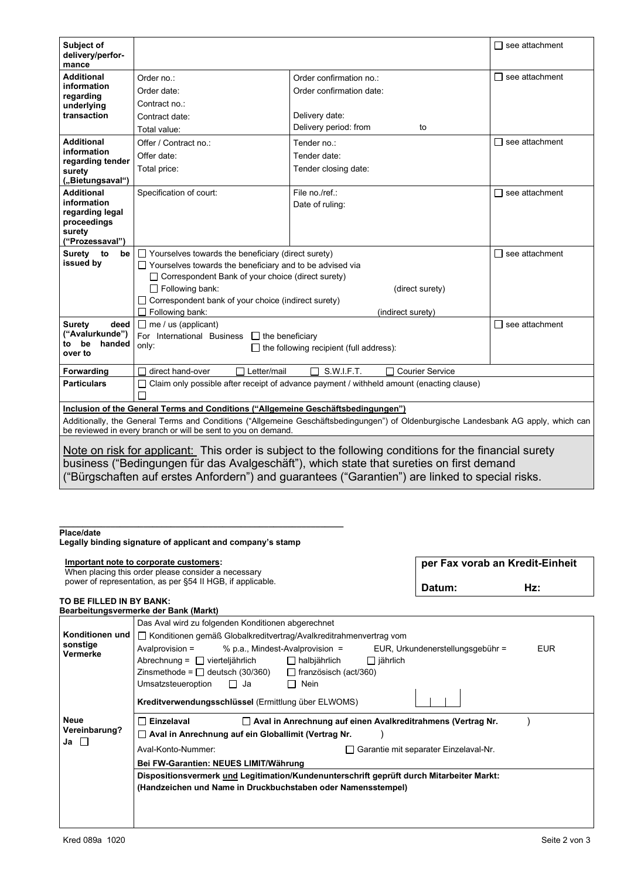| Subject of<br>delivery/perfor-<br>mance                                                                                                                                                                                                                                                               |                                                                                   |                                                                                          | □ see attachment         |  |
|-------------------------------------------------------------------------------------------------------------------------------------------------------------------------------------------------------------------------------------------------------------------------------------------------------|-----------------------------------------------------------------------------------|------------------------------------------------------------------------------------------|--------------------------|--|
| Additional                                                                                                                                                                                                                                                                                            | Order no.:                                                                        | Order confirmation no.:                                                                  | □ see attachment         |  |
| information                                                                                                                                                                                                                                                                                           | Order date:                                                                       | Order confirmation date:                                                                 |                          |  |
| regarding<br>underlying                                                                                                                                                                                                                                                                               | Contract no.:                                                                     |                                                                                          |                          |  |
| transaction                                                                                                                                                                                                                                                                                           | Contract date:                                                                    | Delivery date:                                                                           |                          |  |
|                                                                                                                                                                                                                                                                                                       | Total value:                                                                      | Delivery period: from<br>to                                                              |                          |  |
| <b>Additional</b><br>information<br>regarding tender                                                                                                                                                                                                                                                  | Offer / Contract no.:                                                             | Tender no.:                                                                              | $\Box$ see attachment    |  |
|                                                                                                                                                                                                                                                                                                       | Offer date:                                                                       | Tender date:                                                                             |                          |  |
| surety                                                                                                                                                                                                                                                                                                | Total price:                                                                      | Tender closing date:                                                                     |                          |  |
| ("Bietungsaval")                                                                                                                                                                                                                                                                                      |                                                                                   |                                                                                          |                          |  |
| <b>Additional</b>                                                                                                                                                                                                                                                                                     | Specification of court:                                                           | File no./ref.:                                                                           | see attachment           |  |
| information<br>regarding legal                                                                                                                                                                                                                                                                        |                                                                                   | Date of ruling:                                                                          |                          |  |
| proceedings                                                                                                                                                                                                                                                                                           |                                                                                   |                                                                                          |                          |  |
| surety<br>("Prozessaval")                                                                                                                                                                                                                                                                             |                                                                                   |                                                                                          |                          |  |
| Surety to<br>be                                                                                                                                                                                                                                                                                       | $\Box$ Yourselves towards the beneficiary (direct surety)                         |                                                                                          | see attachment<br>$\Box$ |  |
| issued by                                                                                                                                                                                                                                                                                             | $\Box$ Yourselves towards the beneficiary and to be advised via                   |                                                                                          |                          |  |
|                                                                                                                                                                                                                                                                                                       | □ Correspondent Bank of your choice (direct surety)                               |                                                                                          |                          |  |
|                                                                                                                                                                                                                                                                                                       | $\Box$ Following bank:<br>(direct surety)                                         |                                                                                          |                          |  |
|                                                                                                                                                                                                                                                                                                       | Correspondent bank of your choice (indirect surety)                               |                                                                                          |                          |  |
|                                                                                                                                                                                                                                                                                                       | $\Box$ Following bank:                                                            | (indirect surety)                                                                        |                          |  |
| Surety<br>deed<br>("Avalurkunde")                                                                                                                                                                                                                                                                     | $\Box$ me / us (applicant)                                                        | $\Box$ see attachment                                                                    |                          |  |
| be<br>handed<br>to                                                                                                                                                                                                                                                                                    | For International Business<br>$\Box$ the beneficiary<br>only:                     |                                                                                          |                          |  |
| over to                                                                                                                                                                                                                                                                                               |                                                                                   | the following recipient (full address):                                                  |                          |  |
| Forwarding                                                                                                                                                                                                                                                                                            | direct hand-over<br>$\Box$ Letter/mail                                            | S.W.I.F.T.<br><b>Courier Service</b>                                                     |                          |  |
| <b>Particulars</b>                                                                                                                                                                                                                                                                                    | $\Box$                                                                            | Claim only possible after receipt of advance payment / withheld amount (enacting clause) |                          |  |
|                                                                                                                                                                                                                                                                                                       |                                                                                   |                                                                                          |                          |  |
|                                                                                                                                                                                                                                                                                                       | Inclusion of the General Terms and Conditions ("Allgemeine Geschäftsbedingungen") |                                                                                          |                          |  |
| Additionally, the General Terms and Conditions ("Allgemeine Geschäftsbedingungen") of Oldenburgische Landesbank AG apply, which can<br>be reviewed in every branch or will be sent to you on demand.                                                                                                  |                                                                                   |                                                                                          |                          |  |
| Note on risk for applicant: This order is subject to the following conditions for the financial surety<br>business ("Bedingungen für das Avalgeschäft"), which state that sureties on first demand<br>("Bürgschaften auf erstes Anfordern") and guarantees ("Garantien") are linked to special risks. |                                                                                   |                                                                                          |                          |  |

#### **\_\_\_\_\_\_\_\_\_\_\_\_\_\_\_\_\_\_\_\_\_\_\_\_\_\_\_\_\_\_\_\_\_\_\_\_\_\_\_\_\_\_\_\_\_\_\_\_\_\_\_\_\_\_\_\_\_\_\_\_\_ Place/date**

**Legally binding signature of applicant and company's stamp**

| Important note to corporate customers:<br>When placing this order please consider a necessary | per Fax vorab an Kredit-Einheit |     |  |
|-----------------------------------------------------------------------------------------------|---------------------------------|-----|--|
| power of representation, as per §54 II HGB, if applicable.                                    | Datum:                          | Hz: |  |

#### **TO BE FILLED IN BY BANK: Bearbeitungsvermerke der Bank (Markt)**

|                                      | Das Aval wird zu folgenden Konditionen abgerechnet                                                     |  |  |  |  |  |
|--------------------------------------|--------------------------------------------------------------------------------------------------------|--|--|--|--|--|
| Konditionen und                      | □ Konditionen gemäß Globalkreditvertrag/Avalkreditrahmenvertrag vom                                    |  |  |  |  |  |
| sonstige<br>Vermerke                 | Avalprovision =<br>% p.a., Mindest-Avalprovision $=$<br>EUR, Urkundenerstellungsgebühr =<br><b>EUR</b> |  |  |  |  |  |
|                                      | Abrechnung = $\Box$ vierteljährlich<br>$\Box$ halbjährlich<br>$\Box$ jährlich                          |  |  |  |  |  |
|                                      | Zinsmethode = $\Box$ deutsch (30/360)<br>$\Box$ französisch (act/360)                                  |  |  |  |  |  |
| Neue<br>Vereinbarung?<br>Ja <b>L</b> | Umsatzsteueroption<br>$\Box$ Nein<br>$\Box$<br>Ja                                                      |  |  |  |  |  |
|                                      | Kreditverwendungsschlüssel (Ermittlung über ELWOMS)                                                    |  |  |  |  |  |
|                                      | $\Box$ Aval in Anrechnung auf einen Avalkreditrahmens (Vertrag Nr.<br>Einzelaval                       |  |  |  |  |  |
|                                      | □ Aval in Anrechnung auf ein Globallimit (Vertrag Nr.                                                  |  |  |  |  |  |
|                                      | Aval-Konto-Nummer:<br>Garantie mit separater Einzelaval-Nr.                                            |  |  |  |  |  |
|                                      | Bei FW-Garantien: NEUES LIMIT/Währung                                                                  |  |  |  |  |  |
|                                      | Dispositionsvermerk und Legitimation/Kundenunterschrift geprüft durch Mitarbeiter Markt:               |  |  |  |  |  |
|                                      | (Handzeichen und Name in Druckbuchstaben oder Namensstempel)                                           |  |  |  |  |  |
|                                      |                                                                                                        |  |  |  |  |  |
|                                      |                                                                                                        |  |  |  |  |  |
|                                      |                                                                                                        |  |  |  |  |  |